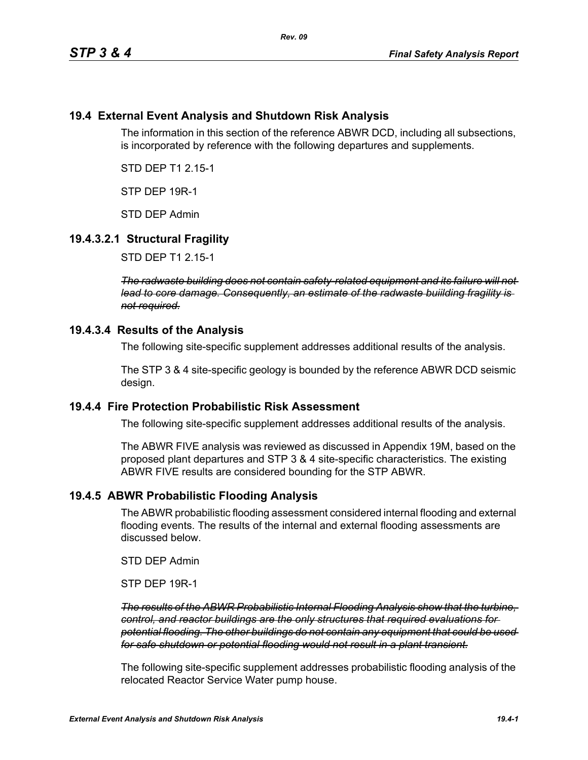## **19.4 External Event Analysis and Shutdown Risk Analysis**

The information in this section of the reference ABWR DCD, including all subsections, is incorporated by reference with the following departures and supplements.

STD DEP T1 2.15-1

STP DEP 19R-1

STD DEP Admin

## **19.4.3.2.1 Structural Fragility**

STD DEP T1 2.15-1

*The radwaste building does not contain safety-related equipment and its failure will not lead to core damage. Consequently, an estimate of the radwaste buiilding fragility is not required.*

#### **19.4.3.4 Results of the Analysis**

The following site-specific supplement addresses additional results of the analysis.

The STP 3 & 4 site-specific geology is bounded by the reference ABWR DCD seismic design.

#### **19.4.4 Fire Protection Probabilistic Risk Assessment**

The following site-specific supplement addresses additional results of the analysis.

The ABWR FIVE analysis was reviewed as discussed in Appendix 19M, based on the proposed plant departures and STP 3 & 4 site-specific characteristics. The existing ABWR FIVE results are considered bounding for the STP ABWR.

#### **19.4.5 ABWR Probabilistic Flooding Analysis**

The ABWR probabilistic flooding assessment considered internal flooding and external flooding events. The results of the internal and external flooding assessments are discussed below.

STD DEP Admin

STP DEP 19R-1

*The results of the ABWR Probabilistic Internal Flooding Analysis show that the turbine, control, and reactor buildings are the only structures that required evaluations for potential flooding. The other buildings do not contain any equipment that could be used for safe shutdown or potential flooding would not result in a plant transient.*

The following site-specific supplement addresses probabilistic flooding analysis of the relocated Reactor Service Water pump house.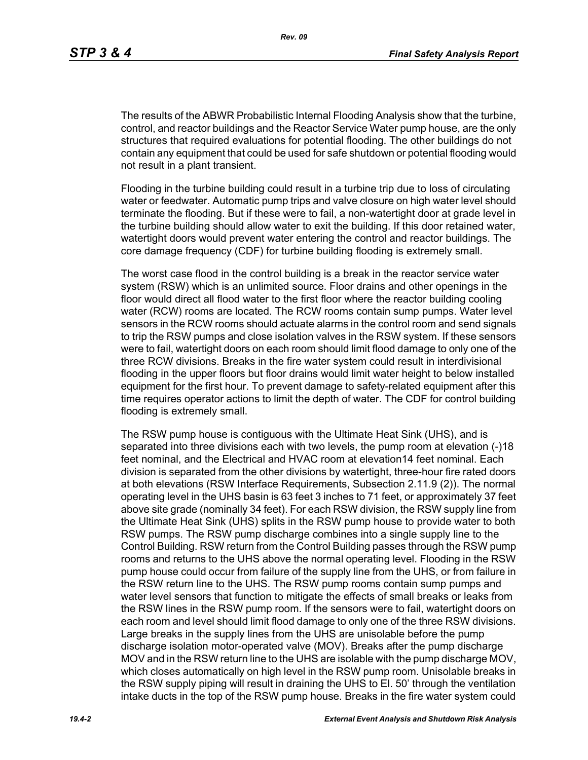The results of the ABWR Probabilistic Internal Flooding Analysis show that the turbine, control, and reactor buildings and the Reactor Service Water pump house, are the only structures that required evaluations for potential flooding. The other buildings do not contain any equipment that could be used for safe shutdown or potential flooding would not result in a plant transient.

Flooding in the turbine building could result in a turbine trip due to loss of circulating water or feedwater. Automatic pump trips and valve closure on high water level should terminate the flooding. But if these were to fail, a non-watertight door at grade level in the turbine building should allow water to exit the building. If this door retained water, watertight doors would prevent water entering the control and reactor buildings. The core damage frequency (CDF) for turbine building flooding is extremely small.

The worst case flood in the control building is a break in the reactor service water system (RSW) which is an unlimited source. Floor drains and other openings in the floor would direct all flood water to the first floor where the reactor building cooling water (RCW) rooms are located. The RCW rooms contain sump pumps. Water level sensors in the RCW rooms should actuate alarms in the control room and send signals to trip the RSW pumps and close isolation valves in the RSW system. If these sensors were to fail, watertight doors on each room should limit flood damage to only one of the three RCW divisions. Breaks in the fire water system could result in interdivisional flooding in the upper floors but floor drains would limit water height to below installed equipment for the first hour. To prevent damage to safety-related equipment after this time requires operator actions to limit the depth of water. The CDF for control building flooding is extremely small.

The RSW pump house is contiguous with the Ultimate Heat Sink (UHS), and is separated into three divisions each with two levels, the pump room at elevation (-)18 feet nominal, and the Electrical and HVAC room at elevation14 feet nominal. Each division is separated from the other divisions by watertight, three-hour fire rated doors at both elevations (RSW Interface Requirements, Subsection 2.11.9 (2)). The normal operating level in the UHS basin is 63 feet 3 inches to 71 feet, or approximately 37 feet above site grade (nominally 34 feet). For each RSW division, the RSW supply line from the Ultimate Heat Sink (UHS) splits in the RSW pump house to provide water to both RSW pumps. The RSW pump discharge combines into a single supply line to the Control Building. RSW return from the Control Building passes through the RSW pump rooms and returns to the UHS above the normal operating level. Flooding in the RSW pump house could occur from failure of the supply line from the UHS, or from failure in the RSW return line to the UHS. The RSW pump rooms contain sump pumps and water level sensors that function to mitigate the effects of small breaks or leaks from the RSW lines in the RSW pump room. If the sensors were to fail, watertight doors on each room and level should limit flood damage to only one of the three RSW divisions. Large breaks in the supply lines from the UHS are unisolable before the pump discharge isolation motor-operated valve (MOV). Breaks after the pump discharge MOV and in the RSW return line to the UHS are isolable with the pump discharge MOV, which closes automatically on high level in the RSW pump room. Unisolable breaks in the RSW supply piping will result in draining the UHS to El. 50' through the ventilation intake ducts in the top of the RSW pump house. Breaks in the fire water system could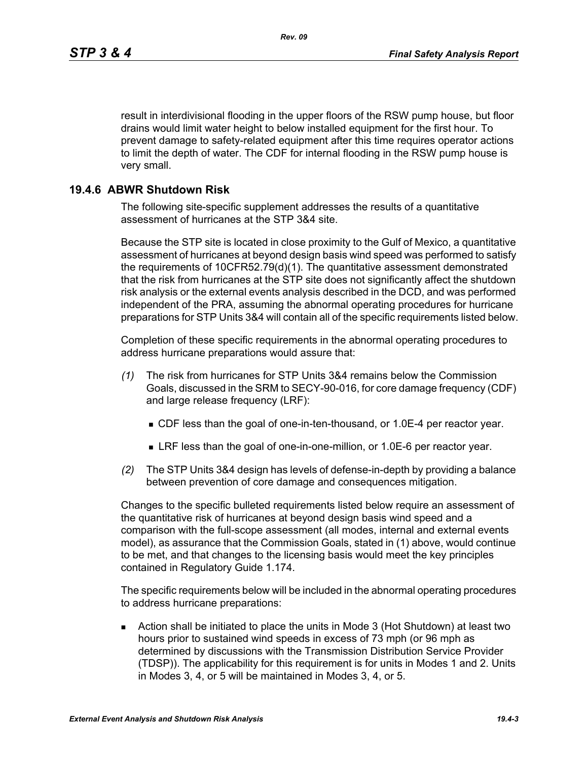result in interdivisional flooding in the upper floors of the RSW pump house, but floor drains would limit water height to below installed equipment for the first hour. To prevent damage to safety-related equipment after this time requires operator actions to limit the depth of water. The CDF for internal flooding in the RSW pump house is very small.

## **19.4.6 ABWR Shutdown Risk**

The following site-specific supplement addresses the results of a quantitative assessment of hurricanes at the STP 3&4 site.

Because the STP site is located in close proximity to the Gulf of Mexico, a quantitative assessment of hurricanes at beyond design basis wind speed was performed to satisfy the requirements of 10CFR52.79(d)(1). The quantitative assessment demonstrated that the risk from hurricanes at the STP site does not significantly affect the shutdown risk analysis or the external events analysis described in the DCD, and was performed independent of the PRA, assuming the abnormal operating procedures for hurricane preparations for STP Units 3&4 will contain all of the specific requirements listed below.

Completion of these specific requirements in the abnormal operating procedures to address hurricane preparations would assure that:

- *(1)* The risk from hurricanes for STP Units 3&4 remains below the Commission Goals, discussed in the SRM to SECY-90-016, for core damage frequency (CDF) and large release frequency (LRF):
	- CDF less than the goal of one-in-ten-thousand, or 1.0E-4 per reactor year.
	- LRF less than the goal of one-in-one-million, or 1.0E-6 per reactor year.
- *(2)* The STP Units 3&4 design has levels of defense-in-depth by providing a balance between prevention of core damage and consequences mitigation.

Changes to the specific bulleted requirements listed below require an assessment of the quantitative risk of hurricanes at beyond design basis wind speed and a comparison with the full-scope assessment (all modes, internal and external events model), as assurance that the Commission Goals, stated in (1) above, would continue to be met, and that changes to the licensing basis would meet the key principles contained in Regulatory Guide 1.174.

The specific requirements below will be included in the abnormal operating procedures to address hurricane preparations:

 Action shall be initiated to place the units in Mode 3 (Hot Shutdown) at least two hours prior to sustained wind speeds in excess of 73 mph (or 96 mph as determined by discussions with the Transmission Distribution Service Provider (TDSP)). The applicability for this requirement is for units in Modes 1 and 2. Units in Modes 3, 4, or 5 will be maintained in Modes 3, 4, or 5.